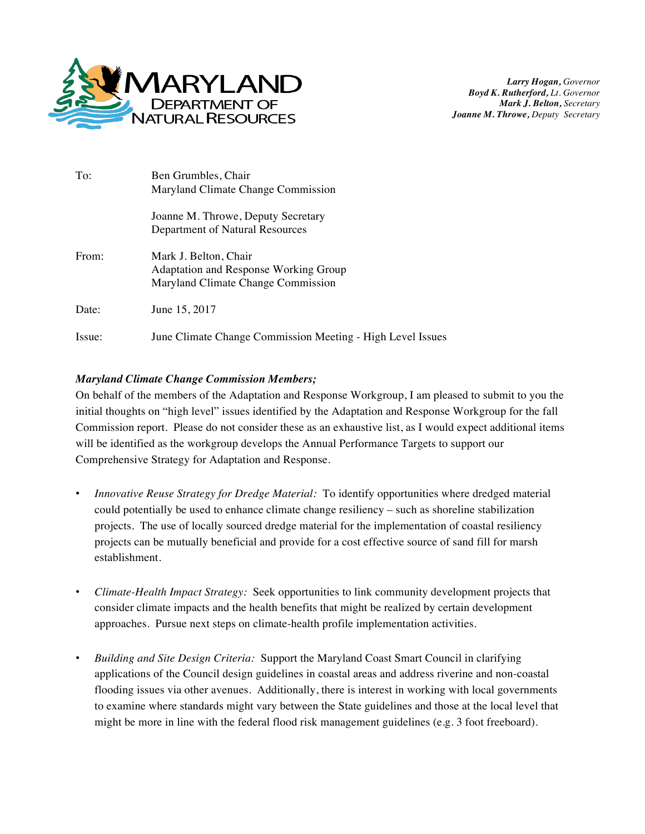

*Larry Hogan, Governor Boyd K. Rutherford, Lt. Governor Mark J. Belton, Secretary Joanne M. Throwe, Deputy Secretary*

| To:    | Ben Grumbles, Chair<br>Maryland Climate Change Commission                                                   |
|--------|-------------------------------------------------------------------------------------------------------------|
|        | Joanne M. Throwe, Deputy Secretary<br>Department of Natural Resources                                       |
| From:  | Mark J. Belton, Chair<br><b>Adaptation and Response Working Group</b><br>Maryland Climate Change Commission |
| Date:  | June 15, 2017                                                                                               |
| Issue: | June Climate Change Commission Meeting - High Level Issues                                                  |

## *Maryland Climate Change Commission Members;*

On behalf of the members of the Adaptation and Response Workgroup, I am pleased to submit to you the initial thoughts on "high level" issues identified by the Adaptation and Response Workgroup for the fall Commission report. Please do not consider these as an exhaustive list, as I would expect additional items will be identified as the workgroup develops the Annual Performance Targets to support our Comprehensive Strategy for Adaptation and Response.

- *Innovative Reuse Strategy for Dredge Material:* To identify opportunities where dredged material could potentially be used to enhance climate change resiliency – such as shoreline stabilization projects. The use of locally sourced dredge material for the implementation of coastal resiliency projects can be mutually beneficial and provide for a cost effective source of sand fill for marsh establishment.
- *Climate-Health Impact Strategy:* Seek opportunities to link community development projects that consider climate impacts and the health benefits that might be realized by certain development approaches. Pursue next steps on climate-health profile implementation activities.
- *Building and Site Design Criteria:* Support the Maryland Coast Smart Council in clarifying applications of the Council design guidelines in coastal areas and address riverine and non-coastal flooding issues via other avenues. Additionally, there is interest in working with local governments to examine where standards might vary between the State guidelines and those at the local level that might be more in line with the federal flood risk management guidelines (e.g. 3 foot freeboard).